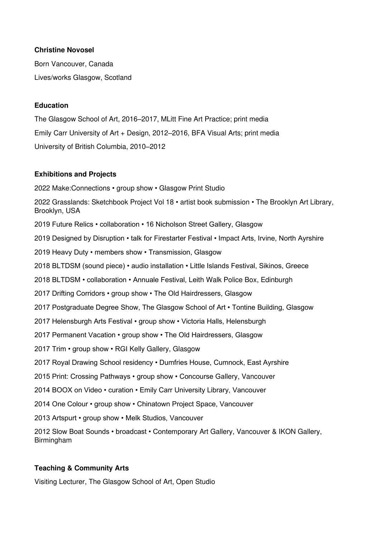### **Christine Novosel**

Born Vancouver, Canada Lives/works Glasgow, Scotland

### **Education**

The Glasgow School of Art, 2016–2017, MLitt Fine Art Practice; print media Emily Carr University of Art + Design, 2012–2016, BFA Visual Arts; print media University of British Columbia, 2010–2012

### **Exhibitions and Projects**

2022 Make:Connections • group show • Glasgow Print Studio

2022 Grasslands: Sketchbook Project Vol 18 • artist book submission • The Brooklyn Art Library, Brooklyn, USA

2019 Future Relics • collaboration • 16 Nicholson Street Gallery, Glasgow

2019 Designed by Disruption • talk for Firestarter Festival • Impact Arts, Irvine, North Ayrshire

2019 Heavy Duty • members show • Transmission, Glasgow

2018 BLTDSM (sound piece) • audio installation • Little Islands Festival, Sikinos, Greece

2018 BLTDSM • collaboration • Annuale Festival, Leith Walk Police Box, Edinburgh

2017 Drifting Corridors • group show • The Old Hairdressers, Glasgow

2017 Postgraduate Degree Show, The Glasgow School of Art • Tontine Building, Glasgow

2017 Helensburgh Arts Festival • group show • Victoria Halls, Helensburgh

2017 Permanent Vacation • group show • The Old Hairdressers, Glasgow

2017 Trim • group show • RGI Kelly Gallery, Glasgow

2017 Royal Drawing School residency • Dumfries House, Cumnock, East Ayrshire

2015 Print: Crossing Pathways • group show • Concourse Gallery, Vancouver

2014 BOOX on Video • curation • Emily Carr University Library, Vancouver

2014 One Colour • group show • Chinatown Project Space, Vancouver

2013 Artspurt • group show • Melk Studios, Vancouver

2012 Slow Boat Sounds • broadcast • Contemporary Art Gallery, Vancouver & IKON Gallery, Birmingham

# **Teaching & Community Arts**

Visiting Lecturer, The Glasgow School of Art, Open Studio